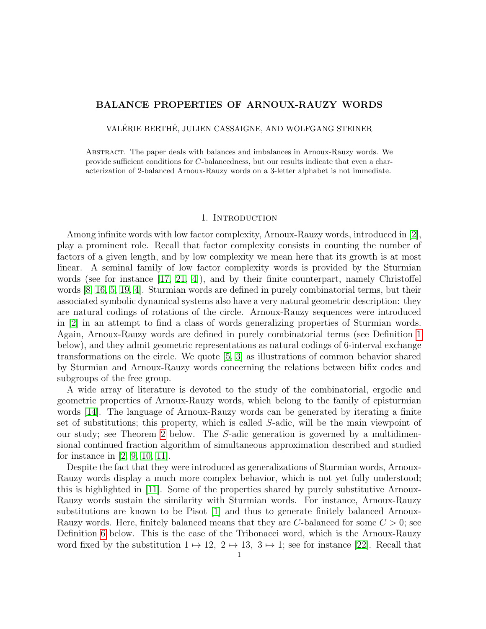# BALANCE PROPERTIES OF ARNOUX-RAUZY WORDS

VALÉRIE BERTHÉ, JULIEN CASSAIGNE, AND WOLFGANG STEINER

Abstract. The paper deals with balances and imbalances in Arnoux-Rauzy words. We provide sufficient conditions for C-balancedness, but our results indicate that even a characterization of 2-balanced Arnoux-Rauzy words on a 3-letter alphabet is not immediate.

## 1. INTRODUCTION

Among infinite words with low factor complexity, Arnoux-Rauzy words, introduced in [\[2\]](#page-11-0), play a prominent role. Recall that factor complexity consists in counting the number of factors of a given length, and by low complexity we mean here that its growth is at most linear. A seminal family of low factor complexity words is provided by the Sturmian words (see for instance [\[17,](#page-12-0) [21,](#page-12-1) [4\]](#page-12-2)), and by their finite counterpart, namely Christoffel words [\[8,](#page-12-3) [16,](#page-12-4) [5,](#page-12-5) [19,](#page-12-6) [4\]](#page-12-2). Sturmian words are defined in purely combinatorial terms, but their associated symbolic dynamical systems also have a very natural geometric description: they are natural codings of rotations of the circle. Arnoux-Rauzy sequences were introduced in [\[2\]](#page-11-0) in an attempt to find a class of words generalizing properties of Sturmian words. Again, Arnoux-Rauzy words are defined in purely combinatorial terms (see Definition [1](#page-1-0) below), and they admit geometric representations as natural codings of 6-interval exchange transformations on the circle. We quote [\[5,](#page-12-5) [3\]](#page-12-7) as illustrations of common behavior shared by Sturmian and Arnoux-Rauzy words concerning the relations between bifix codes and subgroups of the free group.

A wide array of literature is devoted to the study of the combinatorial, ergodic and geometric properties of Arnoux-Rauzy words, which belong to the family of episturmian words [\[14\]](#page-12-8). The language of Arnoux-Rauzy words can be generated by iterating a finite set of substitutions; this property, which is called S-adic, will be the main viewpoint of our study; see Theorem [2](#page-2-0) below. The S-adic generation is governed by a multidimensional continued fraction algorithm of simultaneous approximation described and studied for instance in [\[2,](#page-11-0) [9,](#page-12-9) [10,](#page-12-10) [11\]](#page-12-11).

Despite the fact that they were introduced as generalizations of Sturmian words, Arnoux-Rauzy words display a much more complex behavior, which is not yet fully understood; this is highlighted in [\[11\]](#page-12-11). Some of the properties shared by purely substitutive Arnoux-Rauzy words sustain the similarity with Sturmian words. For instance, Arnoux-Rauzy substitutions are known to be Pisot [\[1\]](#page-11-1) and thus to generate finitely balanced Arnoux-Rauzy words. Here, finitely balanced means that they are C-balanced for some  $C > 0$ ; see Definition [6](#page-3-0) below. This is the case of the Tribonacci word, which is the Arnoux-Rauzy word fixed by the substitution  $1 \mapsto 12$ ,  $2 \mapsto 13$ ,  $3 \mapsto 1$ ; see for instance [\[22\]](#page-12-12). Recall that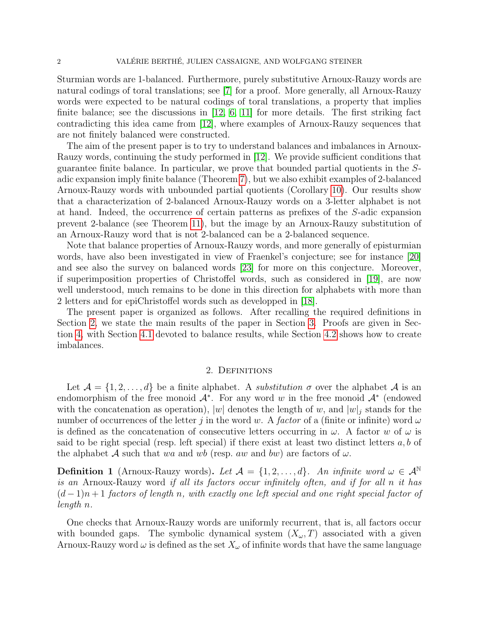Sturmian words are 1-balanced. Furthermore, purely substitutive Arnoux-Rauzy words are natural codings of toral translations; see [\[7\]](#page-12-13) for a proof. More generally, all Arnoux-Rauzy words were expected to be natural codings of toral translations, a property that implies finite balance; see the discussions in [\[12,](#page-12-14) [6,](#page-12-15) [11\]](#page-12-11) for more details. The first striking fact contradicting this idea came from [\[12\]](#page-12-14), where examples of Arnoux-Rauzy sequences that are not finitely balanced were constructed.

The aim of the present paper is to try to understand balances and imbalances in Arnoux-Rauzy words, continuing the study performed in [\[12\]](#page-12-14). We provide sufficient conditions that guarantee finite balance. In particular, we prove that bounded partial quotients in the Sadic expansion imply finite balance (Theorem [7\)](#page-3-1), but we also exhibit examples of 2-balanced Arnoux-Rauzy words with unbounded partial quotients (Corollary [10\)](#page-4-0). Our results show that a characterization of 2-balanced Arnoux-Rauzy words on a 3-letter alphabet is not at hand. Indeed, the occurrence of certain patterns as prefixes of the S-adic expansion prevent 2-balance (see Theorem [11\)](#page-4-1), but the image by an Arnoux-Rauzy substitution of an Arnoux-Rauzy word that is not 2-balanced can be a 2-balanced sequence.

Note that balance properties of Arnoux-Rauzy words, and more generally of episturmian words, have also been investigated in view of Fraenkel's conjecture; see for instance [\[20\]](#page-12-16) and see also the survey on balanced words [\[23\]](#page-12-17) for more on this conjecture. Moreover, if superimposition properties of Christoffel words, such as considered in [\[19\]](#page-12-6), are now well understood, much remains to be done in this direction for alphabets with more than 2 letters and for epiChristoffel words such as developped in [\[18\]](#page-12-18).

The present paper is organized as follows. After recalling the required definitions in Section [2,](#page-1-1) we state the main results of the paper in Section [3.](#page-3-2) Proofs are given in Section [4,](#page-5-0) with Section [4.1](#page-5-1) devoted to balance results, while Section [4.2](#page-9-0) shows how to create imbalances.

## 2. DEFINITIONS

<span id="page-1-1"></span>Let  $\mathcal{A} = \{1, 2, ..., d\}$  be a finite alphabet. A *substitution*  $\sigma$  over the alphabet  $\mathcal{A}$  is an endomorphism of the free monoid  $\mathcal{A}^*$ . For any word w in the free monoid  $\mathcal{A}^*$  (endowed with the concatenation as operation), |w| denotes the length of w, and  $|w|_j$  stands for the number of occurrences of the letter j in the word w. A factor of a (finite or infinite) word  $\omega$ is defined as the concatenation of consecutive letters occurring in  $\omega$ . A factor w of  $\omega$  is said to be right special (resp. left special) if there exist at least two distinct letters  $a, b$  of the alphabet A such that wa and wb (resp. aw and bw) are factors of  $\omega$ .

<span id="page-1-0"></span>**Definition 1** (Arnoux-Rauzy words). Let  $A = \{1, 2, ..., d\}$ . An infinite word  $\omega \in A^{\mathbb{N}}$ is an Arnoux-Rauzy word if all its factors occur infinitely often, and if for all n it has  $(d-1)n+1$  factors of length n, with exactly one left special and one right special factor of length n.

One checks that Arnoux-Rauzy words are uniformly recurrent, that is, all factors occur with bounded gaps. The symbolic dynamical system  $(X_{\omega}, T)$  associated with a given Arnoux-Rauzy word  $\omega$  is defined as the set  $X_{\omega}$  of infinite words that have the same language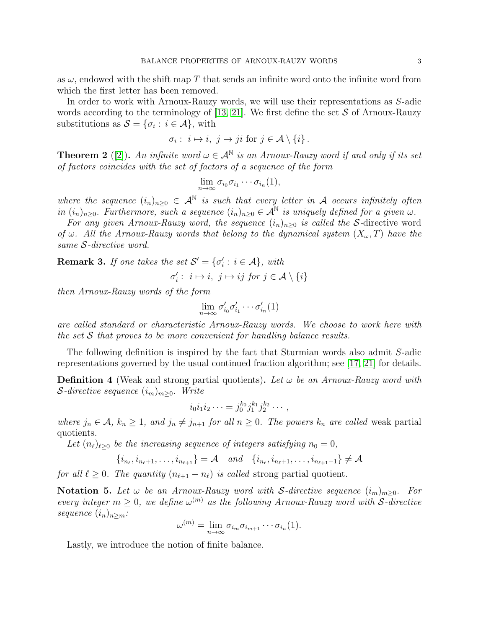as  $\omega$ , endowed with the shift map T that sends an infinite word onto the infinite word from which the first letter has been removed.

In order to work with Arnoux-Rauzy words, we will use their representations as S-adic words according to the terminology of [\[13,](#page-12-19) [21\]](#page-12-1). We first define the set  $S$  of Arnoux-Rauzy substitutions as  $S = {\sigma_i : i \in \mathcal{A}}$ , with

$$
\sigma_i: i \mapsto i, \ j \mapsto ji \text{ for } j \in \mathcal{A} \setminus \{i\}.
$$

<span id="page-2-0"></span>**Theorem 2** ([\[2\]](#page-11-0)). An infinite word  $\omega \in A^{\mathbb{N}}$  is an Arnoux-Rauzy word if and only if its set of factors coincides with the set of factors of a sequence of the form

$$
\lim_{n\to\infty}\sigma_{i_0}\sigma_{i_1}\cdots\sigma_{i_n}(1),
$$

where the sequence  $(i_n)_{n\geq 0} \in \mathcal{A}^{\mathbb{N}}$  is such that every letter in A occurs infinitely often in  $(i_n)_{n\geq 0}$ . Furthermore, such a sequence  $(i_n)_{n\geq 0} \in A^{\mathbb{N}}$  is uniquely defined for a given  $\omega$ .

For any given Arnoux-Rauzy word, the sequence  $(i_n)_{n\geq 0}$  is called the S-directive word of  $\omega$ . All the Arnoux-Rauzy words that belong to the dynamical system  $(X_{\omega},T)$  have the same S-directive word.

**Remark 3.** If one takes the set  $\mathcal{S}' = {\sigma'_i : i \in \mathcal{A}}$ , with

$$
\sigma'_i:~i\mapsto i,~j\mapsto ij~for~j\in\mathcal{A}\setminus\{i\}
$$

then Arnoux-Rauzy words of the form

$$
\lim_{n\to\infty}\sigma'_{i_0}\sigma'_{i_1}\cdots\sigma'_{i_n}(1)
$$

are called standard or characteristic Arnoux-Rauzy words. We choose to work here with the set  $S$  that proves to be more convenient for handling balance results.

The following definition is inspired by the fact that Sturmian words also admit S-adic representations governed by the usual continued fraction algorithm; see [\[17,](#page-12-0) [21\]](#page-12-1) for details.

**Definition 4** (Weak and strong partial quotients). Let  $\omega$  be an Arnoux-Rauzy word with  $\mathcal{S}\text{-}divective\ sequence (i_m)_{m\geq 0}$ . Write

$$
i_0 i_1 i_2 \cdots = j_0^{k_0} j_1^{k_1} j_2^{k_2} \cdots,
$$

where  $j_n \in \mathcal{A}$ ,  $k_n \geq 1$ , and  $j_n \neq j_{n+1}$  for all  $n \geq 0$ . The powers  $k_n$  are called weak partial quotients.

Let  $(n_\ell)_{\ell>0}$  be the increasing sequence of integers satisfying  $n_0 = 0$ ,

$$
\{i_{n_{\ell}}, i_{n_{\ell}+1}, \ldots, i_{n_{\ell+1}}\} = \mathcal{A} \quad and \quad \{i_{n_{\ell}}, i_{n_{\ell}+1}, \ldots, i_{n_{\ell+1}-1}\} \neq \mathcal{A}
$$

for all  $\ell \geq 0$ . The quantity  $(n_{\ell+1} - n_{\ell})$  is called strong partial quotient.

**Notation 5.** Let  $\omega$  be an Arnoux-Rauzy word with S-directive sequence  $(i_m)_{m>0}$ . For every integer  $m \geq 0$ , we define  $\omega^{(m)}$  as the following Arnoux-Rauzy word with S-directive sequence  $(i_n)_{n \geq m}$ :

$$
\omega^{(m)} = \lim_{n \to \infty} \sigma_{i_m} \sigma_{i_{m+1}} \cdots \sigma_{i_n}(1).
$$

Lastly, we introduce the notion of finite balance.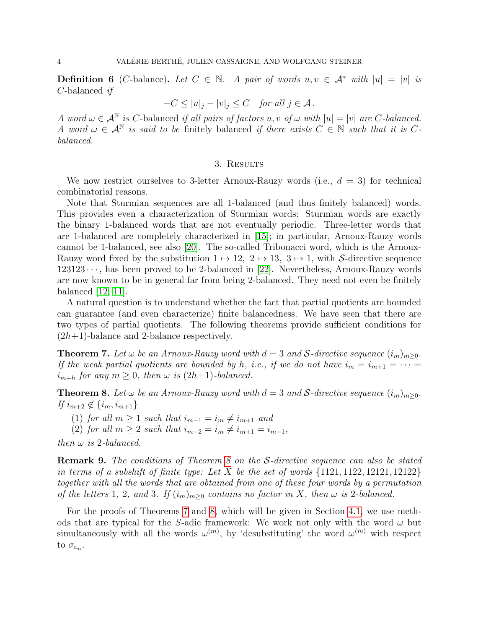<span id="page-3-0"></span>**Definition 6** (C-balance). Let  $C \in \mathbb{N}$ . A pair of words  $u, v \in \mathcal{A}^*$  with  $|u| = |v|$  is C-balanced if

$$
-C \le |u|_j - |v|_j \le C \quad \text{for all } j \in \mathcal{A} \, .
$$

A word  $\omega \in \mathcal{A}^{\mathbb{N}}$  is C-balanced if all pairs of factors  $u, v$  of  $\omega$  with  $|u| = |v|$  are C-balanced. A word  $\omega \in \mathcal{A}^{\mathbb{N}}$  is said to be finitely balanced if there exists  $C \in \mathbb{N}$  such that it is Cbalanced.

## 3. Results

<span id="page-3-2"></span>We now restrict ourselves to 3-letter Arnoux-Rauzy words (i.e.,  $d = 3$ ) for technical combinatorial reasons.

Note that Sturmian sequences are all 1-balanced (and thus finitely balanced) words. This provides even a characterization of Sturmian words: Sturmian words are exactly the binary 1-balanced words that are not eventually periodic. Three-letter words that are 1-balanced are completely characterized in [\[15\]](#page-12-20); in particular, Arnoux-Rauzy words cannot be 1-balanced, see also [\[20\]](#page-12-16). The so-called Tribonacci word, which is the Arnoux-Rauzy word fixed by the substitution  $1 \mapsto 12$ ,  $2 \mapsto 13$ ,  $3 \mapsto 1$ , with S-directive sequence  $123123 \cdots$ , has been proved to be 2-balanced in [\[22\]](#page-12-12). Nevertheless, Arnoux-Rauzy words are now known to be in general far from being 2-balanced. They need not even be finitely balanced [\[12,](#page-12-14) [11\]](#page-12-11).

A natural question is to understand whether the fact that partial quotients are bounded can guarantee (and even characterize) finite balancedness. We have seen that there are two types of partial quotients. The following theorems provide sufficient conditions for  $(2h+1)$ -balance and 2-balance respectively.

<span id="page-3-1"></span>**Theorem 7.** Let  $\omega$  be an Arnoux-Rauzy word with  $d = 3$  and S-directive sequence  $(i_m)_{m>0}$ . If the weak partial quotients are bounded by h, i.e., if we do not have  $i_m = i_{m+1} = \cdots =$  $i_{m+h}$  for any  $m \geq 0$ , then  $\omega$  is  $(2h+1)$ -balanced.

<span id="page-3-3"></span>**Theorem 8.** Let  $\omega$  be an Arnoux-Rauzy word with  $d = 3$  and S-directive sequence  $(i_m)_{m \geq 0}$ . If  $i_{m+2} \notin \{i_m, i_{m+1}\}\$ 

(1) for all  $m \geq 1$  such that  $i_{m-1} = i_m \neq i_{m+1}$  and

(2) for all  $m \geq 2$  such that  $i_{m-2} = i_m \neq i_{m+1} = i_{m-1}$ ,

then  $\omega$  is 2-balanced.

<span id="page-3-4"></span>Remark 9. The conditions of Theorem [8](#page-3-3) on the S-directive sequence can also be stated in terms of a subshift of finite type: Let X be the set of words  $\{1121, 1122, 12121, 12122\}$ together with all the words that are obtained from one of these four words by a permutation of the letters 1, 2, and 3. If  $(i_m)_{m>0}$  contains no factor in X, then  $\omega$  is 2-balanced.

For the proofs of Theorems [7](#page-3-1) and [8,](#page-3-3) which will be given in Section [4.1,](#page-5-1) we use methods that are typical for the S-adic framework: We work not only with the word  $\omega$  but simultaneously with all the words  $\omega^{(m)}$ , by 'desubstituting' the word  $\omega^{(m)}$  with respect to  $\sigma_{i_m}$ .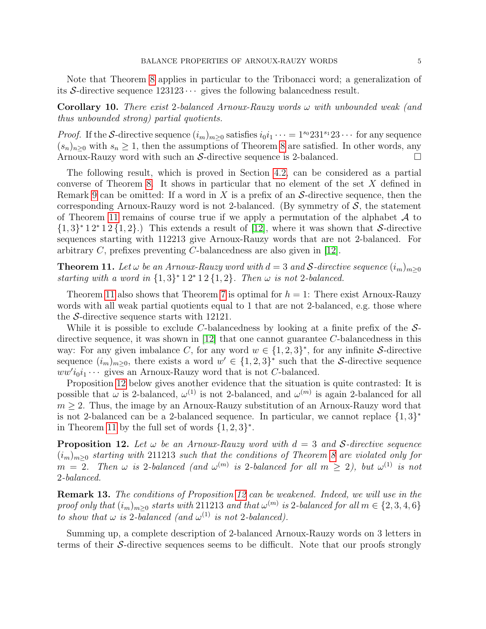Note that Theorem [8](#page-3-3) applies in particular to the Tribonacci word; a generalization of its S-directive sequence  $123123 \cdots$  gives the following balancedness result.

<span id="page-4-0"></span>**Corollary 10.** There exist 2-balanced Arnoux-Rauzy words  $\omega$  with unbounded weak (and thus unbounded strong) partial quotients.

*Proof.* If the S-directive sequence  $(i_m)_{m>0}$  satisfies  $i_0i_1 \cdots = 1^{s_0}231^{s_1}23 \cdots$  for any sequence  $(s_n)_{n>0}$  with  $s_n \geq 1$ , then the assumptions of Theorem [8](#page-3-3) are satisfied. In other words, any Arnoux-Rauzy word with such an S-directive sequence is 2-balanced.  $\Box$ 

The following result, which is proved in Section [4.2,](#page-9-0) can be considered as a partial converse of Theorem [8.](#page-3-3) It shows in particular that no element of the set X defined in Remark [9](#page-3-4) can be omitted: If a word in X is a prefix of an  $S$ -directive sequence, then the corresponding Arnoux-Rauzy word is not 2-balanced. (By symmetry of  $S$ , the statement of Theorem [11](#page-4-1) remains of course true if we apply a permutation of the alphabet  $\mathcal A$  to  $\{1,3\}^*$  1 2<sup>\*</sup> 1 2 $\{1,2\}$ .) This extends a result of [\[12\]](#page-12-14), where it was shown that S-directive sequences starting with 112213 give Arnoux-Rauzy words that are not 2-balanced. For arbitrary C, prefixes preventing C-balancedness are also given in [\[12\]](#page-12-14).

<span id="page-4-1"></span>**Theorem 11.** Let  $\omega$  be an Arnoux-Rauzy word with  $d = 3$  and S-directive sequence  $(i_m)_{m \geq 0}$ starting with a word in  $\{1,3\}^*$  1  $2^*$  1  $2\{1,2\}$ . Then  $\omega$  is not 2-balanced.

Theorem [11](#page-4-1) also shows that Theorem [7](#page-3-1) is optimal for  $h = 1$ : There exist Arnoux-Rauzy words with all weak partial quotients equal to 1 that are not 2-balanced, e.g. those where the S-directive sequence starts with 12121.

While it is possible to exclude C-balancedness by looking at a finite prefix of the  $S$ directive sequence, it was shown in  $[12]$  that one cannot guarantee C-balancedness in this way: For any given imbalance C, for any word  $w \in \{1,2,3\}^*$ , for any infinite S-directive sequence  $(i_m)_{m\geq 0}$ , there exists a word  $w' \in \{1,2,3\}^*$  such that the S-directive sequence  $ww'i_0i_1\cdots$  gives an Arnoux-Rauzy word that is not C-balanced.

Proposition [12](#page-4-2) below gives another evidence that the situation is quite contrasted: It is possible that  $\omega$  is 2-balanced,  $\omega^{(1)}$  is not 2-balanced, and  $\omega^{(m)}$  is again 2-balanced for all  $m \geq 2$ . Thus, the image by an Arnoux-Rauzy substitution of an Arnoux-Rauzy word that is not 2-balanced can be a 2-balanced sequence. In particular, we cannot replace  $\{1,3\}^*$ in Theorem [11](#page-4-1) by the full set of words  $\{1,2,3\}^*$ .

<span id="page-4-2"></span>**Proposition 12.** Let  $\omega$  be an Arnoux-Rauzy word with  $d = 3$  and S-directive sequence  $(i_m)_{m>0}$  starting with 211213 such that the conditions of Theorem [8](#page-3-3) are violated only for  $m = 2$ . Then  $\omega$  is 2-balanced (and  $\omega^{(m)}$  is 2-balanced for all  $m \geq 2$ ), but  $\omega^{(1)}$  is not 2-balanced.

Remark 13. The conditions of Proposition [12](#page-4-2) can be weakened. Indeed, we will use in the proof only that  $(i_m)_{m\geq 0}$  starts with 211213 and that  $\omega^{(m)}$  is 2-balanced for all  $m \in \{2,3,4,6\}$ to show that  $\omega$  is 2-balanced (and  $\omega^{(1)}$  is not 2-balanced).

Summing up, a complete description of 2-balanced Arnoux-Rauzy words on 3 letters in terms of their  $\mathcal S$ -directive sequences seems to be difficult. Note that our proofs strongly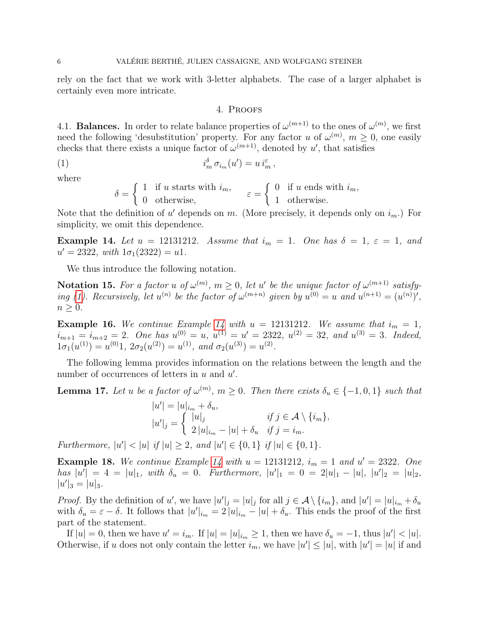rely on the fact that we work with 3-letter alphabets. The case of a larger alphabet is certainly even more intricate.

## <span id="page-5-2"></span>4. Proofs

<span id="page-5-1"></span><span id="page-5-0"></span>4.1. **Balances.** In order to relate balance properties of  $\omega^{(m+1)}$  to the ones of  $\omega^{(m)}$ , we first need the following 'desubstitution' property. For any factor u of  $\omega^{(m)}$ ,  $m \geq 0$ , one easily checks that there exists a unique factor of  $\omega^{(m+1)}$ , denoted by u', that satisfies

(1) 
$$
i_m^{\delta} \sigma_{i_m}(u') = u i_m^{\varepsilon},
$$

where

$$
\delta = \begin{cases} 1 & \text{if } u \text{ starts with } i_m, \\ 0 & \text{otherwise,} \end{cases} \quad \varepsilon = \begin{cases} 0 & \text{if } u \text{ ends with } i_m, \\ 1 & \text{otherwise.} \end{cases}
$$

Note that the definition of  $u'$  depends on m. (More precisely, it depends only on  $i_m$ .) For simplicity, we omit this dependence.

<span id="page-5-3"></span>Example 14. Let  $u = 12131212$ . Assume that  $i_m = 1$ . One has  $\delta = 1$ ,  $\varepsilon = 1$ , and  $u' = 2322$ , with  $1\sigma_1(2322) = u1$ .

We thus introduce the following notation.

**Notation 15.** For a factor u of  $\omega^{(m)}$ ,  $m \geq 0$ , let u' be the unique factor of  $\omega^{(m+1)}$  satisfy-ing [\(1\)](#page-5-2). Recursively, let  $u^{(n)}$  be the factor of  $\omega^{(m+n)}$  given by  $u^{(0)} = u$  and  $u^{(n+1)} = (u^{(n)})'$ ,  $n \geq 0$ .

**Example 16.** We continue Example [14](#page-5-3) with  $u = 12131212$ . We assume that  $i_m = 1$ ,  $i_{m+1} = i_{m+2} = 2$ . One has  $u^{(0)} = u$ ,  $u^{(1)} = u' = 2322$ ,  $u^{(2)} = 32$ , and  $u^{(3)} = 3$ . Indeed,  $1\sigma_1(u^{(1)}) = u^{(0)}1$ ,  $2\sigma_2(u^{(2)}) = u^{(1)}$ , and  $\sigma_2(u^{(3)}) = u^{(2)}$ .

The following lemma provides information on the relations between the length and the number of occurrences of letters in  $u$  and  $u'$ .

<span id="page-5-4"></span>**Lemma 17.** Let u be a factor of  $\omega^{(m)}$ ,  $m \geq 0$ . Then there exists  $\delta_u \in \{-1,0,1\}$  such that

$$
|u'| = |u|_{i_m} + \delta_u,
$$
  
\n
$$
|u'|_j = \begin{cases} |u|_j & \text{if } j \in \mathcal{A} \setminus \{i_m\}, \\ 2|u|_{i_m} - |u| + \delta_u & \text{if } j = i_m. \end{cases}
$$

Furthermore,  $|u'| < |u|$  if  $|u| \geq 2$ , and  $|u'| \in \{0, 1\}$  if  $|u| \in \{0, 1\}$ .

**Example 18.** We continue Example [14](#page-5-3) with  $u = 12131212$ ,  $i_m = 1$  and  $u' = 2322$ . One has  $|u'| = 4 = |u|_1$ , with  $\delta_u = 0$ . Furthermore,  $|u'|_1 = 0 = 2|u|_1 - |u|$ ,  $|u'|_2 = |u|_2$ ,  $|u'|_3 = |u|_3.$ 

*Proof.* By the definition of u', we have  $|u'|_j = |u|_j$  for all  $j \in \mathcal{A} \setminus \{i_m\}$ , and  $|u'| = |u|_{i_m} + \delta_u$ with  $\delta_u = \varepsilon - \delta$ . It follows that  $|u'|_{i_m} = 2 |u|_{i_m} - |u| + \delta_u$ . This ends the proof of the first part of the statement.

If  $|u| = 0$ , then we have  $u' = i_m$ . If  $|u| = |u|_{i_m} \ge 1$ , then we have  $\delta_u = -1$ , thus  $|u'| < |u|$ . Otherwise, if u does not only contain the letter  $i_m$ , we have  $|u'| \leq |u|$ , with  $|u'| = |u|$  if and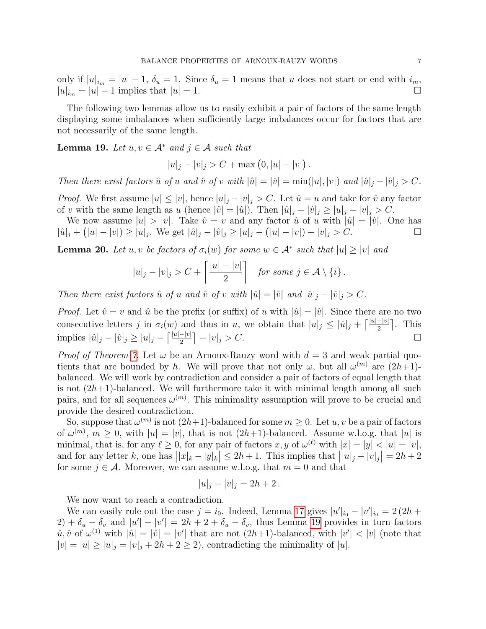only if  $|u|_{i_m} = |u| - 1$ ,  $\delta_u = 1$ . Since  $\delta_u = 1$  means that u does not start or end with  $i_m$ ,  $|u|_{i_m} = |u| - 1$  implies that  $|u| = 1$ .

The following two lemmas allow us to easily exhibit a pair of factors of the same length displaying some imbalances when sufficiently large imbalances occur for factors that are not necessarily of the same length.

<span id="page-6-0"></span>**Lemma 19.** Let  $u, v \in A^*$  and  $j \in A$  such that

 $|u|_j - |v|_j > C + \max(0, |u| - |v|).$ 

Then there exist factors  $\hat{u}$  of u and  $\hat{v}$  of v with  $|\hat{u}| = |\hat{v}| = \min(|u|, |v|)$  and  $|\hat{u}|_i - |\hat{v}|_i > C$ .

*Proof.* We first assume  $|u| \le |v|$ , hence  $|u|_j - |v|_j > C$ . Let  $\hat{u} = u$  and take for  $\hat{v}$  any factor of v with the same length as u (hence  $|\hat{v}| = |\hat{u}|$ ). Then  $|\hat{u}|_j - |\hat{v}|_j \ge |u|_j - |v|_j > C$ .

We now assume  $|u| > |v|$ . Take  $\hat{v} = v$  and any factor  $\hat{u}$  of u with  $|\hat{u}| = |\hat{v}|$ . One has  $|\hat{u}|_j + (|u| - |v|) \ge |u|_j$ . We get  $|\hat{u}|_j - |\hat{v}|_j \ge |u|_j - (|u| - |v|) - |v|_j > C$ .

<span id="page-6-1"></span>**Lemma 20.** Let u, v be factors of  $\sigma_i(w)$  for some  $w \in A^*$  such that  $|u| \ge |v|$  and

$$
|u|_j - |v|_j > C + \left\lceil \frac{|u| - |v|}{2} \right\rceil \quad \text{for some } j \in \mathcal{A} \setminus \{i\} \, .
$$

Then there exist factors  $\hat{u}$  of u and  $\hat{v}$  of v with  $|\hat{u}| = |\hat{v}|$  and  $|\hat{u}|_j - |\hat{v}|_j > C$ .

*Proof.* Let  $\hat{v} = v$  and  $\hat{u}$  be the prefix (or suffix) of u with  $|\hat{u}| = |\hat{v}|$ . Since there are no two consecutive letters j in  $\sigma_i(w)$  and thus in u, we obtain that  $|u|_j \leq |\hat{u}|_j + \lceil \frac{|u| - |v|}{2} \rceil$ . This implies  $|\hat{u}|_j - |\hat{v}|_j \ge |u|_j - \left[\frac{|u|-|v|}{2}\right] - |v|_j > C.$  □

*Proof of Theorem [7.](#page-3-1)* Let  $\omega$  be an Arnoux-Rauzy word with  $d = 3$  and weak partial quotients that are bounded by h. We will prove that not only  $\omega$ , but all  $\omega^{(m)}$  are  $(2h+1)$ balanced. We will work by contradiction and consider a pair of factors of equal length that is not  $(2h+1)$ -balanced. We will furthermore take it with minimal length among all such pairs, and for all sequences  $\omega^{(m)}$ . This minimality assumption will prove to be crucial and provide the desired contradiction.

So, suppose that  $\omega^{(m)}$  is not  $(2h+1)$ -balanced for some  $m \geq 0$ . Let  $u, v$  be a pair of factors of  $\omega^{(m)}$ ,  $m \geq 0$ , with  $|u| = |v|$ , that is not  $(2h+1)$ -balanced. Assume w.l.o.g. that  $|u|$  is minimal, that is, for any  $\ell \geq 0$ , for any pair of factors x, y of  $\omega^{(\ell)}$  with  $|x| = |y| < |u| = |v|$ , and for any letter k, one has  $||x_k - y_k|| \le 2h + 1$ . This implies that  $||u|_j - |v|_j| = 2h + 2$ for some  $j \in \mathcal{A}$ . Moreover, we can assume w.l.o.g. that  $m = 0$  and that

$$
|u|_j - |v|_j = 2h + 2.
$$

We now want to reach a contradiction.

We can easily rule out the case  $j = i_0$ . Indeed, Lemma [17](#page-5-4) gives  $|u'|_{i_0} - |v'|_{i_0} = 2(2h +$  $(2) + \delta_u - \delta_v$  and  $|u'| - |v'| = 2h + 2 + \delta_u - \delta_v$ , thus Lemma [19](#page-6-0) provides in turn factors  $\hat{u}, \hat{v}$  of  $\omega^{(1)}$  with  $|\hat{u}| = |\hat{v}| = |v'|$  that are not  $(2h+1)$ -balanced, with  $|v'| < |v|$  (note that  $|v| = |u| \ge |u|_j = |v|_j + 2h + 2 \ge 2$ , contradicting the minimality of |u|.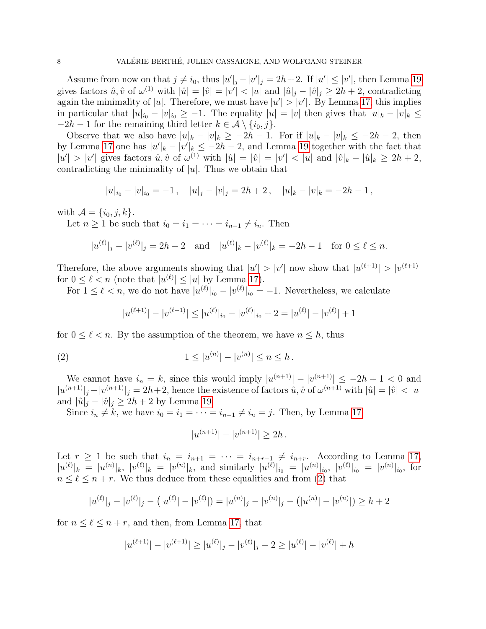Assume from now on that  $j \neq i_0$ , thus  $|u'|_j - |v'|_j = 2h + 2$ . If  $|u'| \leq |v'|$ , then Lemma [19](#page-6-0) gives factors  $\hat{u}, \hat{v}$  of  $\omega^{(1)}$  with  $|\hat{u}| = |\hat{v}| = |v'| < |u|$  and  $|\hat{u}|_j - |\hat{v}|_j \geq 2h + 2$ , contradicting again the minimality of |u|. Therefore, we must have  $|u'| > |v'|$ . By Lemma [17,](#page-5-4) this implies in particular that  $|u|_{i_0} - |v|_{i_0} \geq -1$ . The equality  $|u| = |v|$  then gives that  $|u|_k - |v|_k \leq$  $-2h-1$  for the remaining third letter  $k \in \mathcal{A} \setminus \{i_0, j\}.$ 

Observe that we also have  $|u|_k - |v|_k \ge -2h - 1$ . For if  $|u|_k - |v|_k \le -2h - 2$ , then by Lemma [17](#page-5-4) one has  $|u'|_k - |v'|_k \leq -2h-2$ , and Lemma [19](#page-6-0) together with the fact that  $|u'| > |v'|$  gives factors  $\hat{u}, \hat{v}$  of  $\omega^{(1)}$  with  $|\hat{u}| = |\hat{v}| = |v'| < |u|$  and  $|\hat{v}|_k - |\hat{u}|_k \geq 2h + 2$ , contradicting the minimality of  $|u|$ . Thus we obtain that

$$
|u|_{i_0} - |v|_{i_0} = -1
$$
,  $|u|_j - |v|_j = 2h + 2$ ,  $|u|_k - |v|_k = -2h - 1$ ,

with  $\mathcal{A} = \{i_0, j, k\}.$ 

Let  $n \geq 1$  be such that  $i_0 = i_1 = \cdots = i_{n-1} \neq i_n$ . Then

$$
|u^{(\ell)}|_j - |v^{(\ell)}|_j = 2h + 2
$$
 and  $|u^{(\ell)}|_k - |v^{(\ell)}|_k = -2h - 1$  for  $0 \le \ell \le n$ .

Therefore, the above arguments showing that  $|u'| > |v'|$  now show that  $|u^{(\ell+1)}| > |v^{(\ell+1)}|$ for  $0 \leq \ell < n$  (note that  $|u^{(\ell)}| \leq |u|$  by Lemma [17\)](#page-5-4).

For  $1 \leq \ell < n$ , we do not have  $|u^{(\ell)}|_{i_0} - |v^{(\ell)}|_{i_0} = -1$ . Nevertheless, we calculate

<span id="page-7-0"></span>
$$
|u^{(\ell+1)}| - |v^{(\ell+1)}| \le |u^{(\ell)}|_{i_0} - |v^{(\ell)}|_{i_0} + 2 = |u^{(\ell)}| - |v^{(\ell)}| + 1
$$

for  $0 \leq \ell < n$ . By the assumption of the theorem, we have  $n \leq h$ , thus

(2) 
$$
1 \le |u^{(n)}| - |v^{(n)}| \le n \le h.
$$

We cannot have  $i_n = k$ , since this would imply  $|u^{(n+1)}| - |v^{(n+1)}| \leq -2h + 1 < 0$  and  $|u^{(n+1)}|_j - |v^{(n+1)}|_j = 2h+2$ , hence the existence of factors  $\hat{u}, \hat{v}$  of  $\omega^{(n+1)}$  with  $|\hat{u}| = |\hat{v}| < |u|$ and  $|\hat{u}|_j - |\hat{v}|_j \geq 2h + 2$  by Lemma [19.](#page-6-0)

Since  $i_n \neq k$ , we have  $i_0 = i_1 = \cdots = i_{n-1} \neq i_n = j$ . Then, by Lemma [17,](#page-5-4)

$$
|u^{(n+1)}| - |v^{(n+1)}| \ge 2h.
$$

Let  $r \geq 1$  be such that  $i_n = i_{n+1} = \cdots = i_{n+r-1} \neq i_{n+r}$ . According to Lemma [17,](#page-5-4)  $|u^{(\ell)}|_k = |u^{(n)}|_k, |v^{(\ell)}|_k = |v^{(n)}|_k$ , and similarly  $|u^{(\ell)}|_{i_0} = |u^{(n)}|_{i_0}, |v^{(\ell)}|_{i_0} = |v^{(n)}|_{i_0}$ , for  $n \leq \ell \leq n + r$ . We thus deduce from these equalities and from [\(2\)](#page-7-0) that

$$
|u^{(\ell)}|_j - |v^{(\ell)}|_j - (|u^{(\ell)}| - |v^{(\ell)}|) = |u^{(n)}|_j - |v^{(n)}|_j - (|u^{(n)}| - |v^{(n)}|) \ge h + 2
$$

for  $n \leq \ell \leq n + r$ , and then, from Lemma [17,](#page-5-4) that

$$
|u^{(\ell+1)}| - |v^{(\ell+1)}| \ge |u^{(\ell)}|_j - |v^{(\ell)}|_j - 2 \ge |u^{(\ell)}| - |v^{(\ell)}| + h
$$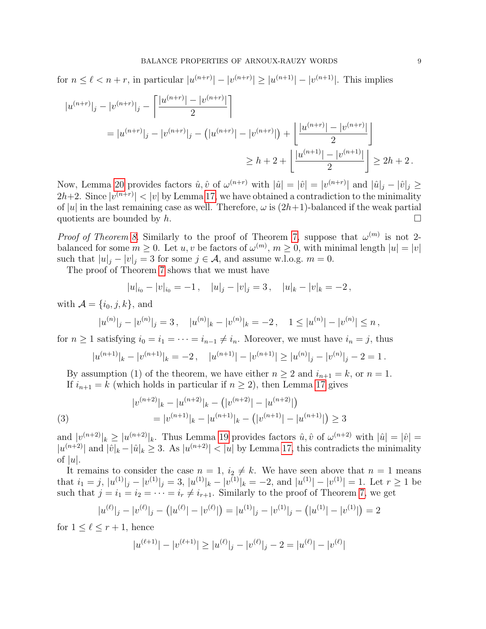for  $n \leq \ell < n+r$ , in particular  $|u^{(n+r)}| - |v^{(n+r)}| \geq |u^{(n+1)}| - |v^{(n+1)}|$ . This implies

$$
|u^{(n+r)}|_j - |v^{(n+r)}|_j - \left[\frac{|u^{(n+r)}| - |v^{(n+r)}|}{2}\right]
$$
  
=  $|u^{(n+r)}|_j - |v^{(n+r)}|_j - (|u^{(n+r)}| - |v^{(n+r)}|) + \left[\frac{|u^{(n+r)}| - |v^{(n+r)}|}{2}\right]$   
 $\geq h + 2 + \left[\frac{|u^{(n+1)}| - |v^{(n+1)}|}{2}\right] \geq 2h + 2.$ 

Now, Lemma [20](#page-6-1) provides factors  $\hat{u}, \hat{v}$  of  $\omega^{(n+r)}$  with  $|\hat{u}| = |\hat{v}| = |v^{(n+r)}|$  and  $|\hat{u}|_j - |\hat{v}|_j \ge$  $2h+2$ . Since  $|v^{(n+r)}| < |v|$  by Lemma [17,](#page-5-4) we have obtained a contradiction to the minimality of |u| in the last remaining case as well. Therefore,  $\omega$  is  $(2h+1)$ -balanced if the weak partial quotients are bounded by  $h$ .

*Proof of Theorem [8.](#page-3-3)* Similarly to the proof of Theorem [7,](#page-3-1) suppose that  $\omega^{(m)}$  is not 2balanced for some  $m \geq 0$ . Let  $u, v$  be factors of  $\omega^{(m)}$ ,  $m \geq 0$ , with minimal length  $|u| = |v|$ such that  $|u|_j - |v|_j = 3$  for some  $j \in \mathcal{A}$ , and assume w.l.o.g.  $m = 0$ .

The proof of Theorem [7](#page-3-1) shows that we must have

$$
|u|_{i_0} - |v|_{i_0} = -1
$$
,  $|u|_j - |v|_j = 3$ ,  $|u|_k - |v|_k = -2$ ,

with  $\mathcal{A} = \{i_0, j, k\}$ , and

$$
|u^{(n)}|_{j} - |v^{(n)}|_{j} = 3, \quad |u^{(n)}|_{k} - |v^{(n)}|_{k} = -2, \quad 1 \le |u^{(n)}| - |v^{(n)}| \le n,
$$

for  $n \geq 1$  satisfying  $i_0 = i_1 = \cdots = i_{n-1} \neq i_n$ . Moreover, we must have  $i_n = j$ , thus

$$
|u^{(n+1)}|_{k} - |v^{(n+1)}|_{k} = -2, \quad |u^{(n+1)}| - |v^{(n+1)}| \ge |u^{(n)}|_{j} - |v^{(n)}|_{j} - 2 = 1.
$$

By assumption (1) of the theorem, we have either  $n \geq 2$  and  $i_{n+1} = k$ , or  $n = 1$ . If  $i_{n+1} = k$  (which holds in particular if  $n \geq 2$ ), then Lemma [17](#page-5-4) gives

<span id="page-8-0"></span>(3) 
$$
|v^{(n+2)}|_{k} - |u^{(n+2)}|_{k} - (|v^{(n+2)}| - |u^{(n+2)}|)
$$

$$
= |v^{(n+1)}|_{k} - |u^{(n+1)}|_{k} - (|v^{(n+1)}| - |u^{(n+1)}|) \ge 3
$$

and  $|v^{(n+2)}|_k \geq |u^{(n+2)}|_k$ . Thus Lemma [19](#page-6-0) provides factors  $\hat{u}, \hat{v}$  of  $\omega^{(n+2)}$  with  $|\hat{u}| = |\hat{v}| =$  $|u^{(n+2)}|$  and  $|\hat{v}|_k - |\hat{u}|_k \geq 3$ . As  $|u^{(n+2)}| < |u|$  by Lemma [17,](#page-5-4) this contradicts the minimality of  $|u|$ .

It remains to consider the case  $n = 1$ ,  $i_2 \neq k$ . We have seen above that  $n = 1$  means that  $i_1 = j$ ,  $|u^{(1)}|_j - |v^{(1)}|_j = 3$ ,  $|u^{(1)}|_k - |v^{(1)}|_k = -2$ , and  $|u^{(1)}| - |v^{(1)}| = 1$ . Let  $r \ge 1$  be such that  $j = i_1 = i_2 = \cdots = i_r \neq i_{r+1}$ . Similarly to the proof of Theorem [7,](#page-3-1) we get

$$
|u^{(\ell)}|_j - |v^{(\ell)}|_j - (|u^{(\ell)}| - |v^{(\ell)}|) = |u^{(1)}|_j - |v^{(1)}|_j - (|u^{(1)}| - |v^{(1)}|) = 2
$$

for  $1 \leq \ell \leq r + 1$ , hence

$$
|u^{(\ell+1)}| - |v^{(\ell+1)}| \ge |u^{(\ell)}|_j - |v^{(\ell)}|_j - 2 = |u^{(\ell)}| - |v^{(\ell)}|
$$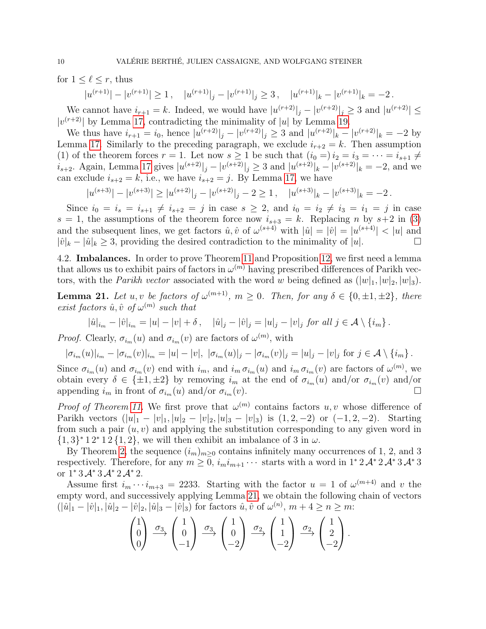for  $1 \leq \ell \leq r$ , thus

$$
|u^{(r+1)}| - |v^{(r+1)}| \ge 1, \quad |u^{(r+1)}|_j - |v^{(r+1)}|_j \ge 3, \quad |u^{(r+1)}|_k - |v^{(r+1)}|_k = -2.
$$

We cannot have  $i_{r+1} = k$ . Indeed, we would have  $|u^{(r+2)}|_j - |v^{(r+2)}|_j \geq 3$  and  $|u^{(r+2)}| \leq$  $|v^{(r+2)}|$  by Lemma [17,](#page-5-4) contradicting the minimality of |u| by Lemma [19.](#page-6-0)

We thus have  $i_{r+1} = i_0$ , hence  $|u^{(r+2)}|_j - |v^{(r+2)}|_j \geq 3$  and  $|u^{(r+2)}|_k - |v^{(r+2)}|_k = -2$  by Lemma [17.](#page-5-4) Similarly to the preceding paragraph, we exclude  $i_{r+2} = k$ . Then assumption (1) of the theorem forces  $r = 1$ . Let now  $s \ge 1$  be such that  $(i_0 =) i_2 = i_3 = \cdots = i_{s+1} \ne$  $i_{s+2}$ . Again, Lemma [17](#page-5-4) gives  $|u^{(s+2)}|_j - |v^{(s+2)}|_j \geq 3$  and  $|u^{(s+2)}|_k - |v^{(s+2)}|_k = -2$ , and we can exclude  $i_{s+2} = k$ , i.e., we have  $i_{s+2} = j$ . By Lemma [17,](#page-5-4) we have

$$
|u^{(s+3)}| - |v^{(s+3)}| \ge |u^{(s+2)}| - |v^{(s+2)}| - 2 \ge 1, \quad |u^{(s+3)}| - |v^{(s+3)}| = -2.
$$

Since  $i_0 = i_s = i_{s+1} \neq i_{s+2} = j$  in case  $s \geq 2$ , and  $i_0 = i_2 \neq i_3 = i_1 = j$  in case  $s = 1$ , the assumptions of the theorem force now  $i_{s+3} = k$ . Replacing n by  $s+2$  in [\(3\)](#page-8-0) and the subsequent lines, we get factors  $\hat{u}, \hat{v}$  of  $\omega^{(s+4)}$  with  $|\hat{u}| = |\hat{v}| = |u^{(s+4)}| < |u|$  and  $|\hat{v}|_k - |\hat{u}|_k > 3$ , providing the desired contradiction to the minimality of  $|u|$ .

<span id="page-9-0"></span>4.2. Imbalances. In order to prove Theorem [11](#page-4-1) and Proposition [12,](#page-4-2) we first need a lemma that allows us to exhibit pairs of factors in  $\omega^{(m)}$  having prescribed differences of Parikh vectors, with the *Parikh vector* associated with the word w being defined as  $(|w|_1, |w|_2, |w|_3)$ .

<span id="page-9-1"></span>**Lemma 21.** Let u, v be factors of  $\omega^{(m+1)}$ ,  $m \geq 0$ . Then, for any  $\delta \in \{0, \pm 1, \pm 2\}$ , there exist factors  $\hat{u}, \hat{v}$  of  $\omega^{(m)}$  such that

$$
|\hat{u}|_{i_m} - |\hat{v}|_{i_m} = |u| - |v| + \delta, \quad |\hat{u}|_j - |\hat{v}|_j = |u|_j - |v|_j \text{ for all } j \in \mathcal{A} \setminus \{i_m\}.
$$

*Proof.* Clearly,  $\sigma_{i_m}(u)$  and  $\sigma_{i_m}(v)$  are factors of  $\omega^{(m)}$ , with

$$
|\sigma_{i_m}(u)|_{i_m} - |\sigma_{i_m}(v)|_{i_m} = |u| - |v|, |\sigma_{i_m}(u)|_j - |\sigma_{i_m}(v)|_j = |u|_j - |v|_j \text{ for } j \in \mathcal{A} \setminus \{i_m\}.
$$

Since  $\sigma_{i_m}(u)$  and  $\sigma_{i_m}(v)$  end with  $i_m$ , and  $i_m \sigma_{i_m}(u)$  and  $i_m \sigma_{i_m}(v)$  are factors of  $\omega^{(m)}$ , we obtain every  $\delta \in {\pm 1, \pm 2}$  by removing  $i_m$  at the end of  $\sigma_{i_m}(u)$  and/or  $\sigma_{i_m}(v)$  and/or appending  $i_m$  in front of  $\sigma_{i_m}(u)$  and/or  $\sigma_{i_m}(v)$ .

*Proof of Theorem [11.](#page-4-1)* We first prove that  $\omega^{(m)}$  contains factors u, v whose difference of Parikh vectors  $(|u|_1 - |v|_1, |u|_2 - |v|_2, |u|_3 - |v|_3)$  is  $(1, 2, -2)$  or  $(-1, 2, -2)$ . Starting from such a pair  $(u, v)$  and applying the substitution corresponding to any given word in  $\{1,3\}^*$  1 2<sup>\*</sup> 1 2  $\{1,2\}$ , we will then exhibit an imbalance of 3 in  $\omega$ .

By Theorem [2,](#page-2-0) the sequence  $(i_m)_{m>0}$  contains infinitely many occurrences of 1, 2, and 3 respectively. Therefore, for any  $m \geq 0$ ,  $i_m i_{m+1} \cdots$  starts with a word in 1<sup>\*</sup> 2  $\mathcal{A}^*$  3  $\mathcal{A}^*$  3 or  $1^* 3 \mathcal{A}^* 3 \mathcal{A}^* 2 \mathcal{A}^* 2$ .

Assume first  $i_m \cdots i_{m+3} = 2233$ . Starting with the factor  $u = 1$  of  $\omega^{(m+4)}$  and v the empty word, and successively applying Lemma [21,](#page-9-1) we obtain the following chain of vectors  $(|\hat{u}|_1 - |\hat{v}|_1, |\hat{u}|_2 - |\hat{v}|_2, |\hat{u}|_3 - |\hat{v}|_3$  for factors  $\hat{u}, \hat{v}$  of  $\omega^{(n)}, m+4 \ge n \ge m$ :

$$
\begin{pmatrix} 1 \\ 0 \\ 0 \end{pmatrix} \xrightarrow{\sigma_3} \begin{pmatrix} 1 \\ 0 \\ -1 \end{pmatrix} \xrightarrow{\sigma_3} \begin{pmatrix} 1 \\ 0 \\ -2 \end{pmatrix} \xrightarrow{\sigma_2} \begin{pmatrix} 1 \\ 1 \\ -2 \end{pmatrix} \xrightarrow{\sigma_2} \begin{pmatrix} 1 \\ 2 \\ -2 \end{pmatrix}.
$$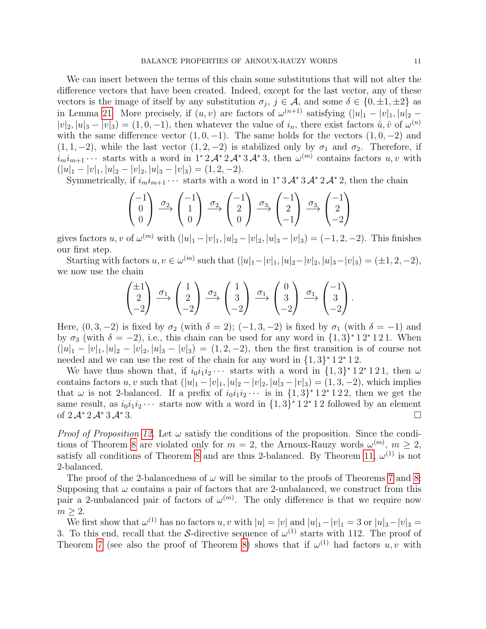We can insert between the terms of this chain some substitutions that will not alter the difference vectors that have been created. Indeed, except for the last vector, any of these vectors is the image of itself by any substitution  $\sigma_j$ ,  $j \in \mathcal{A}$ , and some  $\delta \in \{0, \pm 1, \pm 2\}$  as in Lemma [21.](#page-9-1) More precisely, if  $(u, v)$  are factors of  $\omega^{(n+1)}$  satisfying  $(|u|_1 - |v|_1, |u|_2 |v_2|, |u_3 - v_3| = (1, 0, -1)$ , then whatever the value of  $i_n$ , there exist factors  $\hat{u}, \hat{v}$  of  $\omega^{(n)}$ with the same difference vector  $(1, 0, -1)$ . The same holds for the vectors  $(1, 0, -2)$  and  $(1, 1, -2)$ , while the last vector  $(1, 2, -2)$  is stabilized only by  $\sigma_1$  and  $\sigma_2$ . Therefore, if  $i_m i_{m+1} \cdots$  starts with a word in 1<sup>\*</sup> 2 $\mathcal{A}^*$  3 $\mathcal{A}^*$  3, then  $\omega^{(m)}$  contains factors  $u, v$  with  $(|u|_1 - |v|_1, |u|_2 - |v|_2, |u|_3 - |v|_3) = (1, 2, -2).$ 

Symmetrically, if  $i_m i_{m+1} \cdots$  starts with a word in 1<sup>\*</sup> 3  $\mathcal{A}^*$  3  $\mathcal{A}^*$  2, then the chain

$$
\begin{pmatrix} -1 \\ 0 \\ 0 \end{pmatrix} \xrightarrow{\sigma_2} \begin{pmatrix} -1 \\ 1 \\ 0 \end{pmatrix} \xrightarrow{\sigma_2} \begin{pmatrix} -1 \\ 2 \\ 0 \end{pmatrix} \xrightarrow{\sigma_3} \begin{pmatrix} -1 \\ 2 \\ -1 \end{pmatrix} \xrightarrow{\sigma_3} \begin{pmatrix} -1 \\ 2 \\ -2 \end{pmatrix}
$$

gives factors  $u, v$  of  $\omega^{(m)}$  with  $(|u|_1 - |v|_1, |u|_2 - |v|_2, |u|_3 - |v|_3) = (-1, 2, -2)$ . This finishes our first step.

Starting with factors  $u, v \in \omega^{(m)}$  such that  $(|u|_1 - |v|_1, |u|_2 - |v|_2, |u|_3 - |v|_3) = (\pm 1, 2, -2),$ we now use the chain

$$
\begin{pmatrix} \pm 1 \\ 2 \\ -2 \end{pmatrix} \xrightarrow{\sigma_1} \begin{pmatrix} 1 \\ 2 \\ -2 \end{pmatrix} \xrightarrow{\sigma_2} \begin{pmatrix} 1 \\ 3 \\ -2 \end{pmatrix} \xrightarrow{\sigma_1} \begin{pmatrix} 0 \\ 3 \\ -2 \end{pmatrix} \xrightarrow{\sigma_1} \begin{pmatrix} -1 \\ 3 \\ -2 \end{pmatrix}.
$$

Here,  $(0, 3, -2)$  is fixed by  $\sigma_2$  (with  $\delta = 2$ );  $(-1, 3, -2)$  is fixed by  $\sigma_1$  (with  $\delta = -1$ ) and by  $\sigma_3$  (with  $\delta = -2$ ), i.e., this chain can be used for any word in  $\{1,3\}^*12^*121$ . When  $(|u|_1 - |v|_1, |u|_2 - |v|_2, |u|_3 - |v|_3) = (1, 2, -2)$ , then the first transition is of course not needed and we can use the rest of the chain for any word in  $\{1,3\}^*12^*12$ .

We have thus shown that, if  $i_0 i_1 i_2 \cdots$  starts with a word in  $\{1,3\}^* 1 2^* 1 2 1$ , then  $\omega$ contains factors u, v such that  $(|u|_1 - |v|_1, |u|_2 - |v|_2, |u|_3 - |v|_3) = (1, 3, -2)$ , which implies that  $\omega$  is not 2-balanced. If a prefix of  $i_0 i_1 i_2 \cdots$  is in  $\{1,3\}^* 1 2^* 1 2 2$ , then we get the same result, as  $i_0 i_1 i_2 \cdots$  starts now with a word in  $\{1,3\}^* 1 2^* 1 2$  followed by an element of  $2 \mathcal{A}^* 2 \mathcal{A}^* 3 \mathcal{A}^* 3$ . □

*Proof of Proposition [12.](#page-4-2)* Let  $\omega$  satisfy the conditions of the proposition. Since the condi-tions of Theorem [8](#page-3-3) are violated only for  $m = 2$ , the Arnoux-Rauzy words  $\omega^{(m)}$ ,  $m \geq 2$ , satisfy all conditions of Theorem [8](#page-3-3) and are thus 2-balanced. By Theorem [11,](#page-4-1)  $\omega^{(1)}$  is not 2-balanced.

The proof of the 2-balancedness of  $\omega$  will be similar to the proofs of Theorems [7](#page-3-1) and [8:](#page-3-3) Supposing that  $\omega$  contains a pair of factors that are 2-unbalanced, we construct from this pair a 2-unbalanced pair of factors of  $\omega^{(m)}$ . The only difference is that we require now  $m \geq 2$ .

We first show that  $\omega^{(1)}$  has no factors u, v with  $|u| = |v|$  and  $|u|_1 - |v|_1 = 3$  or  $|u|_3 - |v|_3 =$ 3. To this end, recall that the S-directive sequence of  $\omega^{(1)}$  starts with 112. The proof of Theorem [7](#page-3-1) (see also the proof of Theorem [8\)](#page-3-3) shows that if  $\omega^{(1)}$  had factors  $u, v$  with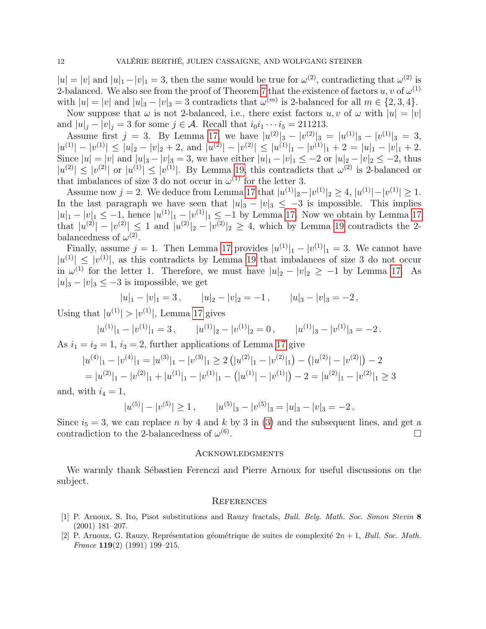$|u| = |v|$  and  $|u|_1 - |v|_1 = 3$ , then the same would be true for  $\omega^{(2)}$ , contradicting that  $\omega^{(2)}$  is 2-balanced. We also see from the proof of Theorem [7](#page-3-1) that the existence of factors  $u, v$  of  $\omega^{(1)}$ with  $|u| = |v|$  and  $|u|_3 - |v|_3 = 3$  contradicts that  $\omega^{(m)}$  is 2-balanced for all  $m \in \{2, 3, 4\}.$ 

Now suppose that  $\omega$  is not 2-balanced, i.e., there exist factors  $u, v$  of  $\omega$  with  $|u| = |v|$ and  $|u|_j - |v|_j = 3$  for some  $j \in \mathcal{A}$ . Recall that  $i_0 i_1 \cdots i_5 = 211213$ .

Assume first  $j = 3$ . By Lemma [17,](#page-5-4) we have  $|u^{(2)}|_3 - |v^{(2)}|_3 = |u^{(1)}|_3 - |v^{(1)}|_3 = 3$ ,  $|u^{(1)}| - |v^{(1)}| \le |u|_2 - |v|_2 + 2$ , and  $|u^{(2)}| - |v^{(2)}| \le |u^{(1)}|_1 - |v^{(1)}|_1 + 2 = |u|_1 - |v|_1 + 2$ . Since  $|u| = |v|$  and  $|u|_3 - |v|_3 = 3$ , we have either  $|u|_1 - |v|_1 \le -2$  or  $|u|_2 - |v|_2 \le -2$ , thus  $|u^{(2)}| \leq |v^{(2)}|$  or  $|u^{(1)}| \leq |v^{(1)}|$ . By Lemma [19,](#page-6-0) this contradicts that  $\omega^{(2)}$  is 2-balanced or that imbalances of size 3 do not occur in  $\omega^{(1)}$  for the letter 3.

Assume now  $j = 2$ . We deduce from Lemma [17](#page-5-4) that  $|u^{(1)}|_2 - |v^{(1)}|_2 \ge 4$ ,  $|u^{(1)}| - |v^{(1)}| \ge 1$ . In the last paragraph we have seen that  $|u|_3 - |v|_3 \leq -3$  is impossible. This implies  $|u|_1 - |v|_1 \leq -1$ , hence  $|u^{(1)}|_1 - |v^{(1)}|_1 \leq -1$  by Lemma [17.](#page-5-4) Now we obtain by Lemma [17](#page-5-4) that  $|u^{(2)}| - |v^{(2)}| \le 1$  and  $|u^{(2)}|_2 - |v^{(2)}|_2 \ge 4$ , which by Lemma [19](#page-6-0) contradicts the 2balancedness of  $\omega^{(2)}$ .

Finally, assume  $j = 1$ . Then Lemma [17](#page-5-4) provides  $|u^{(1)}|_1 - |v^{(1)}|_1 = 3$ . We cannot have  $|u^{(1)}| \leq |v^{(1)}|$ , as this contradicts by Lemma [19](#page-6-0) that imbalances of size 3 do not occur in  $\omega^{(1)}$  for the letter 1. Therefore, we must have  $|u|_2 - |v|_2 \ge -1$  by Lemma [17.](#page-5-4) As  $|u|_3 - |v|_3 \leq -3$  is impossible, we get

$$
|u|_1 - |v|_1 = 3
$$
,  $|u|_2 - |v|_2 = -1$ ,  $|u|_3 - |v|_3 = -2$ ,

Using that  $|u^{(1)}| > |v^{(1)}|$ , Lemma [17](#page-5-4) gives

$$
|u^{(1)}|_1 - |v^{(1)}|_1 = 3
$$
,  $|u^{(1)}|_2 - |v^{(1)}|_2 = 0$ ,  $|u^{(1)}|_3 - |v^{(1)}|_3 = -2$ .

As  $i_1 = i_2 = 1$ ,  $i_3 = 2$ , further applications of Lemma [17](#page-5-4) give

$$
|u^{(4)}|_1 - |v^{(4)}|_1 = |u^{(3)}|_1 - |v^{(3)}|_1 \ge 2(|u^{(2)}|_1 - |v^{(2)}|_1) - (|u^{(2)}| - |v^{(2)}|) - 2
$$
  
= 
$$
|u^{(2)}|_1 - |v^{(2)}|_1 + |u^{(1)}|_1 - |v^{(1)}|_1 - (|u^{(1)}| - |v^{(1)}|) - 2 = |u^{(2)}|_1 - |v^{(2)}|_1 \ge 3
$$

and, with  $i_4 = 1$ ,

$$
|u^{(5)}| - |v^{(5)}| \ge 1
$$
,  $|u^{(5)}|_3 - |v^{(5)}|_3 = |u|_3 - |v|_3 = -2$ .

Since  $i_5 = 3$ , we can replace n by 4 and k by 3 in [\(3\)](#page-8-0) and the subsequent lines, and get a contradiction to the 2-balancedness of  $\omega^{(6)}$ .

#### **ACKNOWLEDGMENTS**

We warmly thank Sébastien Ferenczi and Pierre Arnoux for useful discussions on the subject.

## **REFERENCES**

- <span id="page-11-1"></span>[1] P. Arnoux, S. Ito, Pisot substitutions and Rauzy fractals, Bull. Belg. Math. Soc. Simon Stevin 8 (2001) 181–207.
- <span id="page-11-0"></span>[2] P. Arnoux, G. Rauzy, Représentation géométrique de suites de complexité  $2n + 1$ , Bull. Soc. Math. France 119(2) (1991) 199–215.